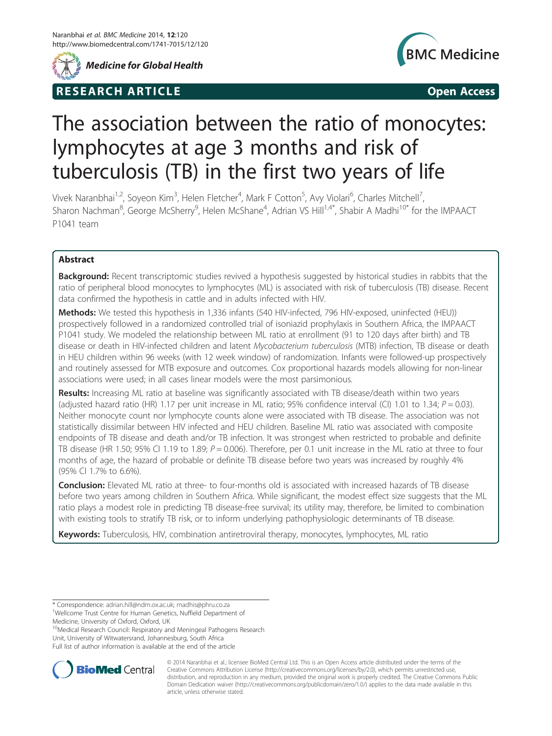

*Medicine for Global Health*

## **RESEARCH ARTICLE EXECUTE: Open Access**



# The association between the ratio of monocytes: lymphocytes at age 3 months and risk of tuberculosis (TB) in the first two years of life

Vivek Naranbhai<sup>1,2</sup>, Soyeon Kim<sup>3</sup>, Helen Fletcher<sup>4</sup>, Mark F Cotton<sup>5</sup>, Avy Violari<sup>6</sup>, Charles Mitchell<sup>7</sup> , Sharon Nachman<sup>8</sup>, George McSherry<sup>9</sup>, Helen McShane<sup>4</sup>, Adrian VS Hill<sup>1,4\*</sup>, Shabir A Madhi<sup>10\*</sup> for the IMPAACT P1041 team

## Abstract

Background: Recent transcriptomic studies revived a hypothesis suggested by historical studies in rabbits that the ratio of peripheral blood monocytes to lymphocytes (ML) is associated with risk of tuberculosis (TB) disease. Recent data confirmed the hypothesis in cattle and in adults infected with HIV.

Methods: We tested this hypothesis in 1,336 infants (540 HIV-infected, 796 HIV-exposed, uninfected (HEU)) prospectively followed in a randomized controlled trial of isoniazid prophylaxis in Southern Africa, the IMPAACT P1041 study. We modeled the relationship between ML ratio at enrollment (91 to 120 days after birth) and TB disease or death in HIV-infected children and latent Mycobacterium tuberculosis (MTB) infection, TB disease or death in HEU children within 96 weeks (with 12 week window) of randomization. Infants were followed-up prospectively and routinely assessed for MTB exposure and outcomes. Cox proportional hazards models allowing for non-linear associations were used; in all cases linear models were the most parsimonious.

Results: Increasing ML ratio at baseline was significantly associated with TB disease/death within two years (adjusted hazard ratio (HR) 1.17 per unit increase in ML ratio; 95% confidence interval (CI) 1.01 to 1.34;  $P = 0.03$ ). Neither monocyte count nor lymphocyte counts alone were associated with TB disease. The association was not statistically dissimilar between HIV infected and HEU children. Baseline ML ratio was associated with composite endpoints of TB disease and death and/or TB infection. It was strongest when restricted to probable and definite TB disease (HR 1.50; 95% CI 1.19 to 1.89;  $P = 0.006$ ). Therefore, per 0.1 unit increase in the ML ratio at three to four months of age, the hazard of probable or definite TB disease before two years was increased by roughly 4% (95% CI 1.7% to 6.6%).

Conclusion: Elevated ML ratio at three- to four-months old is associated with increased hazards of TB disease before two years among children in Southern Africa. While significant, the modest effect size suggests that the ML ratio plays a modest role in predicting TB disease-free survival; its utility may, therefore, be limited to combination with existing tools to stratify TB risk, or to inform underlying pathophysiologic determinants of TB disease.

Keywords: Tuberculosis, HIV, combination antiretroviral therapy, monocytes, lymphocytes, ML ratio

Medicine, University of Oxford, Oxford, UK

<sup>10</sup>Medical Research Council: Respiratory and Meningeal Pathogens Research Unit, University of Witwatersrand, Johannesburg, South Africa Full list of author information is available at the end of the article



© 2014 Naranbhai et al.; licensee BioMed Central Ltd. This is an Open Access article distributed under the terms of the Creative Commons Attribution License (<http://creativecommons.org/licenses/by/2.0>), which permits unrestricted use, distribution, and reproduction in any medium, provided the original work is properly credited. The Creative Commons Public Domain Dedication waiver [\(http://creativecommons.org/publicdomain/zero/1.0/\)](http://creativecommons.org/publicdomain/zero/1.0/) applies to the data made available in this article, unless otherwise stated.

<sup>\*</sup> Correspondence: [adrian.hill@ndm.ox.ac.uk](mailto:adrian.hill@ndm.ox.ac.uk); [madhis@phru.co.za](mailto:madhis@phru.co.za) <sup>1</sup>

<sup>&</sup>lt;sup>1</sup>Wellcome Trust Centre for Human Genetics, Nuffield Department of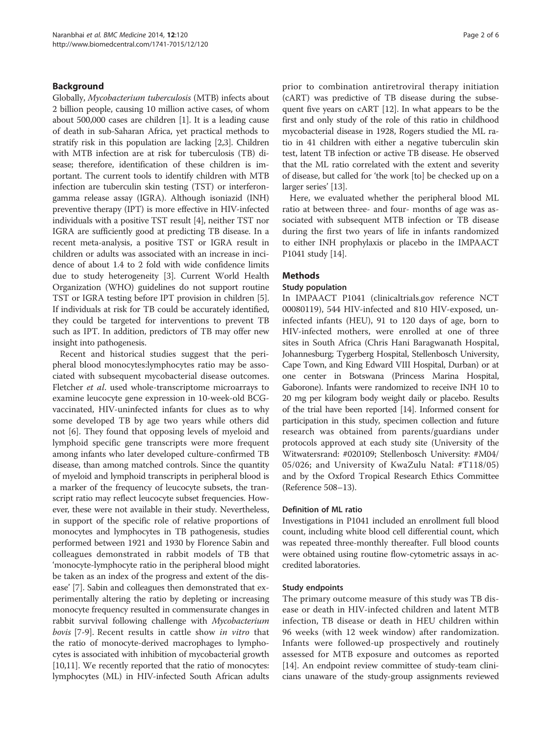## Background

Globally, Mycobacterium tuberculosis (MTB) infects about 2 billion people, causing 10 million active cases, of whom about 500,000 cases are children [\[1](#page-5-0)]. It is a leading cause of death in sub-Saharan Africa, yet practical methods to stratify risk in this population are lacking [[2,3](#page-5-0)]. Children with MTB infection are at risk for tuberculosis (TB) disease; therefore, identification of these children is important. The current tools to identify children with MTB infection are tuberculin skin testing (TST) or interferongamma release assay (IGRA). Although isoniazid (INH) preventive therapy (IPT) is more effective in HIV-infected individuals with a positive TST result [\[4\]](#page-5-0), neither TST nor IGRA are sufficiently good at predicting TB disease. In a recent meta-analysis, a positive TST or IGRA result in children or adults was associated with an increase in incidence of about 1.4 to 2 fold with wide confidence limits due to study heterogeneity [[3](#page-5-0)]. Current World Health Organization (WHO) guidelines do not support routine TST or IGRA testing before IPT provision in children [[5](#page-5-0)]. If individuals at risk for TB could be accurately identified, they could be targeted for interventions to prevent TB such as IPT. In addition, predictors of TB may offer new insight into pathogenesis.

Recent and historical studies suggest that the peripheral blood monocytes:lymphocytes ratio may be associated with subsequent mycobacterial disease outcomes. Fletcher et al. used whole-transcriptome microarrays to examine leucocyte gene expression in 10-week-old BCGvaccinated, HIV-uninfected infants for clues as to why some developed TB by age two years while others did not [\[6\]](#page-5-0). They found that opposing levels of myeloid and lymphoid specific gene transcripts were more frequent among infants who later developed culture-confirmed TB disease, than among matched controls. Since the quantity of myeloid and lymphoid transcripts in peripheral blood is a marker of the frequency of leucocyte subsets, the transcript ratio may reflect leucocyte subset frequencies. However, these were not available in their study. Nevertheless, in support of the specific role of relative proportions of monocytes and lymphocytes in TB pathogenesis, studies performed between 1921 and 1930 by Florence Sabin and colleagues demonstrated in rabbit models of TB that 'monocyte-lymphocyte ratio in the peripheral blood might be taken as an index of the progress and extent of the disease' [\[7](#page-5-0)]. Sabin and colleagues then demonstrated that experimentally altering the ratio by depleting or increasing monocyte frequency resulted in commensurate changes in rabbit survival following challenge with Mycobacterium bovis [\[7](#page-5-0)-[9](#page-5-0)]. Recent results in cattle show in vitro that the ratio of monocyte-derived macrophages to lymphocytes is associated with inhibition of mycobacterial growth [[10,11](#page-5-0)]. We recently reported that the ratio of monocytes: lymphocytes (ML) in HIV-infected South African adults

prior to combination antiretroviral therapy initiation (cART) was predictive of TB disease during the subsequent five years on cART [\[12](#page-5-0)]. In what appears to be the first and only study of the role of this ratio in childhood mycobacterial disease in 1928, Rogers studied the ML ratio in 41 children with either a negative tuberculin skin test, latent TB infection or active TB disease. He observed that the ML ratio correlated with the extent and severity of disease, but called for 'the work [to] be checked up on a larger series' [[13\]](#page-5-0).

Here, we evaluated whether the peripheral blood ML ratio at between three- and four- months of age was associated with subsequent MTB infection or TB disease during the first two years of life in infants randomized to either INH prophylaxis or placebo in the IMPAACT P1041 study [\[14\]](#page-5-0).

## **Methods**

#### Study population

In IMPAACT P1041 (clinicaltrials.gov reference NCT 00080119), 544 HIV-infected and 810 HIV-exposed, uninfected infants (HEU), 91 to 120 days of age, born to HIV-infected mothers, were enrolled at one of three sites in South Africa (Chris Hani Baragwanath Hospital, Johannesburg; Tygerberg Hospital, Stellenbosch University, Cape Town, and King Edward VIII Hospital, Durban) or at one center in Botswana (Princess Marina Hospital, Gaborone). Infants were randomized to receive INH 10 to 20 mg per kilogram body weight daily or placebo. Results of the trial have been reported [[14](#page-5-0)]. Informed consent for participation in this study, specimen collection and future research was obtained from parents/guardians under protocols approved at each study site (University of the Witwatersrand: #020109; Stellenbosch University: #M04/ 05/026; and University of KwaZulu Natal: #T118/05) and by the Oxford Tropical Research Ethics Committee (Reference 508–13).

## Definition of ML ratio

Investigations in P1041 included an enrollment full blood count, including white blood cell differential count, which was repeated three-monthly thereafter. Full blood counts were obtained using routine flow-cytometric assays in accredited laboratories.

#### Study endpoints

The primary outcome measure of this study was TB disease or death in HIV-infected children and latent MTB infection, TB disease or death in HEU children within 96 weeks (with 12 week window) after randomization. Infants were followed-up prospectively and routinely assessed for MTB exposure and outcomes as reported [[14](#page-5-0)]. An endpoint review committee of study-team clinicians unaware of the study-group assignments reviewed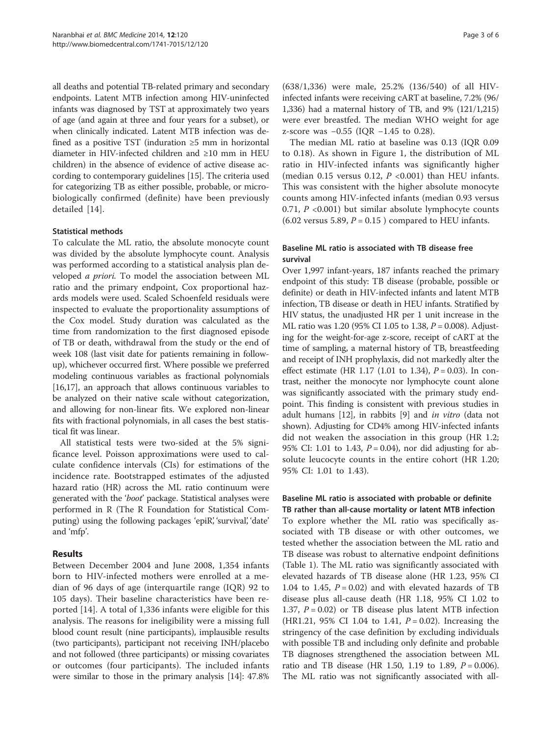all deaths and potential TB-related primary and secondary endpoints. Latent MTB infection among HIV-uninfected infants was diagnosed by TST at approximately two years of age (and again at three and four years for a subset), or when clinically indicated. Latent MTB infection was defined as a positive TST (induration  $\geq$ 5 mm in horizontal diameter in HIV-infected children and ≥10 mm in HEU children) in the absence of evidence of active disease according to contemporary guidelines [\[15\]](#page-5-0). The criteria used for categorizing TB as either possible, probable, or microbiologically confirmed (definite) have been previously detailed [[14](#page-5-0)].

## Statistical methods

To calculate the ML ratio, the absolute monocyte count was divided by the absolute lymphocyte count. Analysis was performed according to a statistical analysis plan developed a priori. To model the association between ML ratio and the primary endpoint, Cox proportional hazards models were used. Scaled Schoenfeld residuals were inspected to evaluate the proportionality assumptions of the Cox model. Study duration was calculated as the time from randomization to the first diagnosed episode of TB or death, withdrawal from the study or the end of week 108 (last visit date for patients remaining in followup), whichever occurred first. Where possible we preferred modeling continuous variables as fractional polynomials [[16,17](#page-5-0)], an approach that allows continuous variables to be analyzed on their native scale without categorization, and allowing for non-linear fits. We explored non-linear fits with fractional polynomials, in all cases the best statistical fit was linear.

All statistical tests were two-sided at the 5% significance level. Poisson approximations were used to calculate confidence intervals (CIs) for estimations of the incidence rate. Bootstrapped estimates of the adjusted hazard ratio (HR) across the ML ratio continuum were generated with the 'boot' package. Statistical analyses were performed in R (The R Foundation for Statistical Computing) using the following packages 'epiR', 'survival', 'date' and 'mfp'.

## Results

Between December 2004 and June 2008, 1,354 infants born to HIV-infected mothers were enrolled at a median of 96 days of age (interquartile range (IQR) 92 to 105 days). Their baseline characteristics have been reported [[14\]](#page-5-0). A total of 1,336 infants were eligible for this analysis. The reasons for ineligibility were a missing full blood count result (nine participants), implausible results (two participants), participant not receiving INH/placebo and not followed (three participants) or missing covariates or outcomes (four participants). The included infants were similar to those in the primary analysis [[14](#page-5-0)]: 47.8%

(638/1,336) were male, 25.2% (136/540) of all HIVinfected infants were receiving cART at baseline, 7.2% (96/ 1,336) had a maternal history of TB, and 9% (121/1,215) were ever breastfed. The median WHO weight for age z-score was −0.55 (IQR −1.45 to 0.28).

The median ML ratio at baseline was 0.13 (IQR 0.09 to 0.18). As shown in Figure [1](#page-3-0), the distribution of ML ratio in HIV-infected infants was significantly higher (median 0.15 versus 0.12,  $P \le 0.001$ ) than HEU infants. This was consistent with the higher absolute monocyte counts among HIV-infected infants (median 0.93 versus 0.71,  $P \leq 0.001$ ) but similar absolute lymphocyte counts  $(6.02 \text{ versus } 5.89, P = 0.15)$  compared to HEU infants.

## Baseline ML ratio is associated with TB disease free survival

Over 1,997 infant-years, 187 infants reached the primary endpoint of this study: TB disease (probable, possible or definite) or death in HIV-infected infants and latent MTB infection, TB disease or death in HEU infants. Stratified by HIV status, the unadjusted HR per 1 unit increase in the ML ratio was 1.20 (95% CI 1.05 to 1.38, P = 0.008). Adjusting for the weight-for-age z-score, receipt of cART at the time of sampling, a maternal history of TB, breastfeeding and receipt of INH prophylaxis, did not markedly alter the effect estimate (HR 1.17 (1.01 to 1.34),  $P = 0.03$ ). In contrast, neither the monocyte nor lymphocyte count alone was significantly associated with the primary study endpoint. This finding is consistent with previous studies in adult humans [[12](#page-5-0)], in rabbits [[9](#page-5-0)] and in vitro (data not shown). Adjusting for CD4% among HIV-infected infants did not weaken the association in this group (HR 1.2; 95% CI: 1.01 to 1.43,  $P = 0.04$ ), nor did adjusting for absolute leucocyte counts in the entire cohort (HR 1.20; 95% CI: 1.01 to 1.43).

## Baseline ML ratio is associated with probable or definite TB rather than all-cause mortality or latent MTB infection

To explore whether the ML ratio was specifically associated with TB disease or with other outcomes, we tested whether the association between the ML ratio and TB disease was robust to alternative endpoint definitions (Table [1](#page-3-0)). The ML ratio was significantly associated with elevated hazards of TB disease alone (HR 1.23, 95% CI 1.04 to 1.45,  $P = 0.02$ ) and with elevated hazards of TB disease plus all-cause death (HR 1.18, 95% CI 1.02 to 1.37,  $P = 0.02$ ) or TB disease plus latent MTB infection (HR1.21, 95% CI 1.04 to 1.41,  $P = 0.02$ ). Increasing the stringency of the case definition by excluding individuals with possible TB and including only definite and probable TB diagnoses strengthened the association between ML ratio and TB disease (HR 1.50, 1.19 to 1.89,  $P = 0.006$ ). The ML ratio was not significantly associated with all-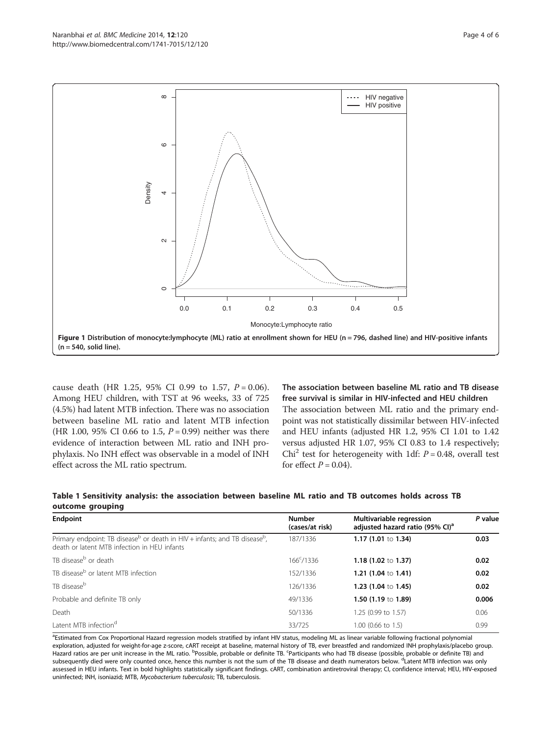<span id="page-3-0"></span>

cause death (HR 1.25, 95% CI 0.99 to 1.57,  $P = 0.06$ ). Among HEU children, with TST at 96 weeks, 33 of 725 (4.5%) had latent MTB infection. There was no association between baseline ML ratio and latent MTB infection (HR 1.00, 95% CI 0.66 to 1.5,  $P = 0.99$ ) neither was there evidence of interaction between ML ratio and INH prophylaxis. No INH effect was observable in a model of INH effect across the ML ratio spectrum.

#### The association between baseline ML ratio and TB disease free survival is similar in HIV-infected and HEU children

The association between ML ratio and the primary endpoint was not statistically dissimilar between HIV-infected and HEU infants (adjusted HR 1.2, 95% CI 1.01 to 1.42 versus adjusted HR 1.07, 95% CI 0.83 to 1.4 respectively; Chi<sup>2</sup> test for heterogeneity with 1df:  $P = 0.48$ , overall test for effect  $P = 0.04$ ).

| Table 1 Sensitivity analysis: the association between baseline ML ratio and TB outcomes holds across TB |  |  |  |  |  |
|---------------------------------------------------------------------------------------------------------|--|--|--|--|--|
| outcome grouping                                                                                        |  |  |  |  |  |

| Endpoint                                                                                                                                             | <b>Number</b><br>(cases/at risk) | Multivariable regression<br>adjusted hazard ratio (95% CI) <sup>a</sup> | P value |
|------------------------------------------------------------------------------------------------------------------------------------------------------|----------------------------------|-------------------------------------------------------------------------|---------|
| Primary endpoint: TB disease <sup>b</sup> or death in $H/V +$ infants; and TB disease <sup>b</sup> ,<br>death or latent MTB infection in HFU infants | 187/1336                         | 1.17 $(1.01 \text{ to } 1.34)$                                          | 0.03    |
| TB disease <sup>b</sup> or death                                                                                                                     | $166^{\circ}/1336$               | 1.18 $(1.02 \text{ to } 1.37)$                                          | 0.02    |
| TB disease <sup>b</sup> or latent MTB infection                                                                                                      | 152/1336                         | 1.21 $(1.04 \text{ to } 1.41)$                                          | 0.02    |
| TB disease <sup>b</sup>                                                                                                                              | 126/1336                         | 1.23 $(1.04 \text{ to } 1.45)$                                          | 0.02    |
| Probable and definite TB only                                                                                                                        | 49/1336                          | 1.50 $(1.19 \text{ to } 1.89)$                                          | 0.006   |
| Death                                                                                                                                                | 50/1336                          | 1.25 (0.99 to 1.57)                                                     | 0.06    |
| Latent MTB infection <sup>d</sup>                                                                                                                    | 33/725                           | 1.00 (0.66 to 1.5)                                                      | 0.99    |

<sup>a</sup>Estimated from Cox Proportional Hazard regression models stratified by infant HIV status, modeling ML as linear variable following fractional polynomial exploration, adjusted for weight-for-age z-score, cART receipt at baseline, maternal history of TB, ever breastfed and randomized INH prophylaxis/placebo group. Hazard ratios are per unit increase in the ML ratio. <sup>b</sup>Possible, probable or definite TB. <sup>c</sup>Participants who had TB disease (possible, probable or definite TB) and subsequently died were only counted once, hence this number is not the sum of the TB disease and death numerators below. <sup>d</sup>Latent MTB infection was only assessed in HEU infants. Text in bold highlights statistically significant findings. cART, combination antiretroviral therapy; CI, confidence interval; HEU, HIV-exposed uninfected; INH, isoniazid; MTB, Mycobacterium tuberculosis; TB, tuberculosis.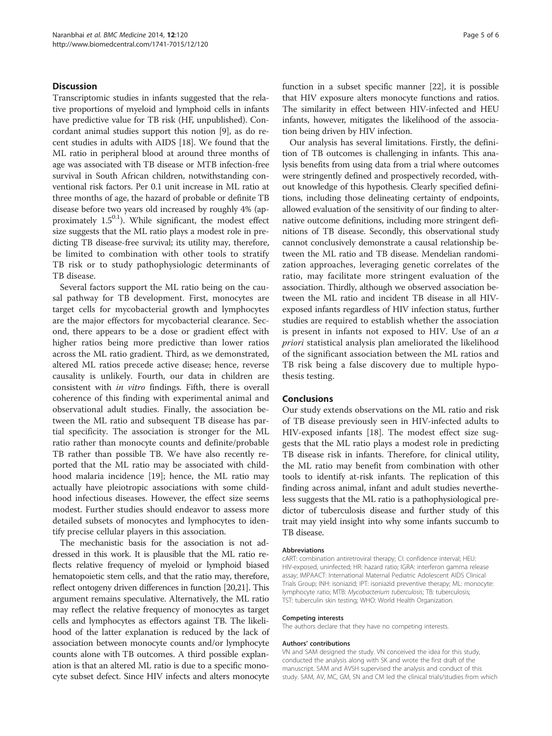### **Discussion**

Transcriptomic studies in infants suggested that the relative proportions of myeloid and lymphoid cells in infants have predictive value for TB risk (HF, unpublished). Concordant animal studies support this notion [\[9](#page-5-0)], as do recent studies in adults with AIDS [\[18\]](#page-5-0). We found that the ML ratio in peripheral blood at around three months of age was associated with TB disease or MTB infection-free survival in South African children, notwithstanding conventional risk factors. Per 0.1 unit increase in ML ratio at three months of age, the hazard of probable or definite TB disease before two years old increased by roughly 4% (approximately  $1.5^{0.1}$ ). While significant, the modest effect size suggests that the ML ratio plays a modest role in predicting TB disease-free survival; its utility may, therefore, be limited to combination with other tools to stratify TB risk or to study pathophysiologic determinants of TB disease.

Several factors support the ML ratio being on the causal pathway for TB development. First, monocytes are target cells for mycobacterial growth and lymphocytes are the major effectors for mycobacterial clearance. Second, there appears to be a dose or gradient effect with higher ratios being more predictive than lower ratios across the ML ratio gradient. Third, as we demonstrated, altered ML ratios precede active disease; hence, reverse causality is unlikely. Fourth, our data in children are consistent with in vitro findings. Fifth, there is overall coherence of this finding with experimental animal and observational adult studies. Finally, the association between the ML ratio and subsequent TB disease has partial specificity. The association is stronger for the ML ratio rather than monocyte counts and definite/probable TB rather than possible TB. We have also recently reported that the ML ratio may be associated with childhood malaria incidence [\[19](#page-5-0)]; hence, the ML ratio may actually have pleiotropic associations with some childhood infectious diseases. However, the effect size seems modest. Further studies should endeavor to assess more detailed subsets of monocytes and lymphocytes to identify precise cellular players in this association.

The mechanistic basis for the association is not addressed in this work. It is plausible that the ML ratio reflects relative frequency of myeloid or lymphoid biased hematopoietic stem cells, and that the ratio may, therefore, reflect ontogeny driven differences in function [\[20,21](#page-5-0)]. This argument remains speculative. Alternatively, the ML ratio may reflect the relative frequency of monocytes as target cells and lymphocytes as effectors against TB. The likelihood of the latter explanation is reduced by the lack of association between monocyte counts and/or lymphocyte counts alone with TB outcomes. A third possible explanation is that an altered ML ratio is due to a specific monocyte subset defect. Since HIV infects and alters monocyte function in a subset specific manner [[22](#page-5-0)], it is possible that HIV exposure alters monocyte functions and ratios. The similarity in effect between HIV-infected and HEU infants, however, mitigates the likelihood of the association being driven by HIV infection.

Our analysis has several limitations. Firstly, the definition of TB outcomes is challenging in infants. This analysis benefits from using data from a trial where outcomes were stringently defined and prospectively recorded, without knowledge of this hypothesis. Clearly specified definitions, including those delineating certainty of endpoints, allowed evaluation of the sensitivity of our finding to alternative outcome definitions, including more stringent definitions of TB disease. Secondly, this observational study cannot conclusively demonstrate a causal relationship between the ML ratio and TB disease. Mendelian randomization approaches, leveraging genetic correlates of the ratio, may facilitate more stringent evaluation of the association. Thirdly, although we observed association between the ML ratio and incident TB disease in all HIVexposed infants regardless of HIV infection status, further studies are required to establish whether the association is present in infants not exposed to HIV. Use of an  $a$ priori statistical analysis plan ameliorated the likelihood of the significant association between the ML ratios and TB risk being a false discovery due to multiple hypothesis testing.

### Conclusions

Our study extends observations on the ML ratio and risk of TB disease previously seen in HIV-infected adults to HIV-exposed infants [[18\]](#page-5-0). The modest effect size suggests that the ML ratio plays a modest role in predicting TB disease risk in infants. Therefore, for clinical utility, the ML ratio may benefit from combination with other tools to identify at-risk infants. The replication of this finding across animal, infant and adult studies nevertheless suggests that the ML ratio is a pathophysiological predictor of tuberculosis disease and further study of this trait may yield insight into why some infants succumb to TB disease.

#### Abbreviations

cART: combination antiretroviral therapy; CI: confidence interval; HEU: HIV-exposed, uninfected; HR: hazard ratio; IGRA: interferon gamma release assay; IMPAACT: International Maternal Pediatric Adolescent AIDS Clinical Trials Group; INH: isoniazid; IPT: isoniazid preventive therapy; ML: monocyte: lymphocyte ratio; MTB: Mycobacterium tuberculosis; TB: tuberculosis; TST: tuberculin skin testing; WHO: World Health Organization.

#### Competing interests

The authors declare that they have no competing interests.

#### Authors' contributions

VN and SAM designed the study. VN conceived the idea for this study, conducted the analysis along with SK and wrote the first draft of the manuscript. SAM and AVSH supervised the analysis and conduct of this study. SAM, AV, MC, GM, SN and CM led the clinical trials/studies from which